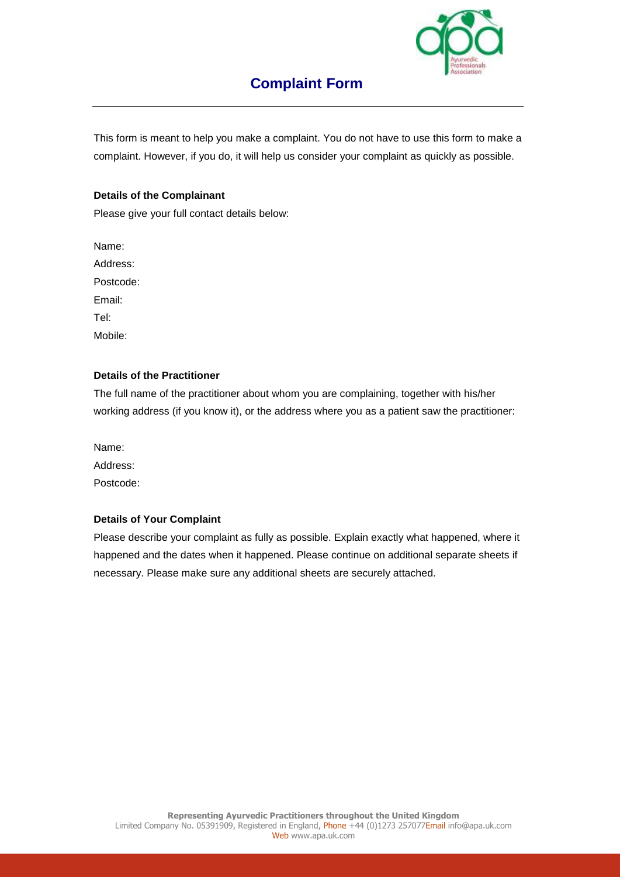

# **Complaint Form**

This form is meant to help you make a complaint. You do not have to use this form to make a complaint. However, if you do, it will help us consider your complaint as quickly as possible.

#### **Details of the Complainant**

Please give your full contact details below:

Name: Address: Postcode: Email: Tel: Mobile:

### **Details of the Practitioner**

The full name of the practitioner about whom you are complaining, together with his/her working address (if you know it), or the address where you as a patient saw the practitioner:

Name: Address: Postcode:

### **Details of Your Complaint**

Please describe your complaint as fully as possible. Explain exactly what happened, where it happened and the dates when it happened. Please continue on additional separate sheets if necessary. Please make sure any additional sheets are securely attached.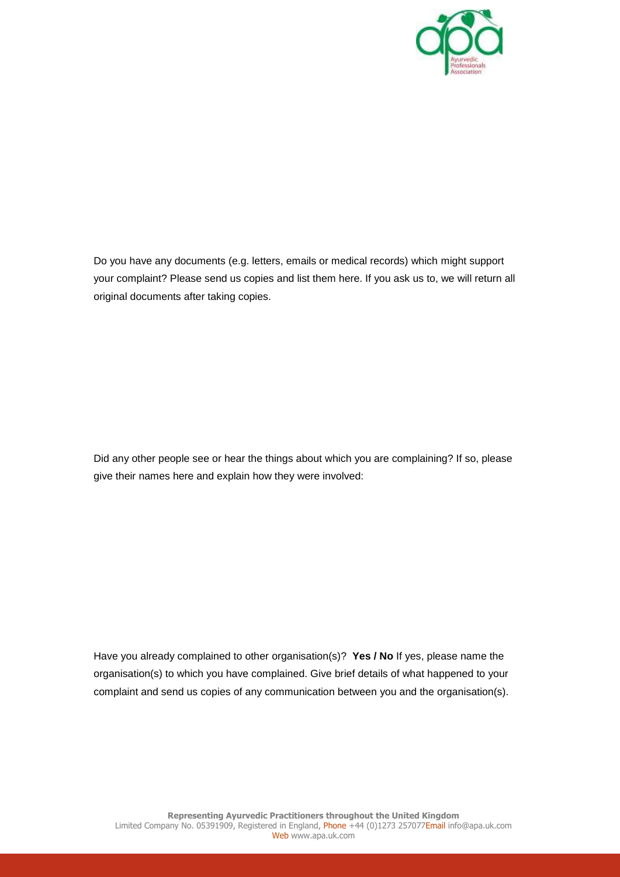

Do you have any documents (e.g. letters, emails or medical records) which might support your complaint? Please send us copies and list them here. If you ask us to, we will return all original documents after taking copies.

Did any other people see or hear the things about which you are complaining? If so, please give their names here and explain how they were involved:

Have you already complained to other organisation(s)? **Yes / No** If yes, please name the organisation(s) to which you have complained. Give brief details of what happened to your complaint and send us copies of any communication between you and the organisation(s).